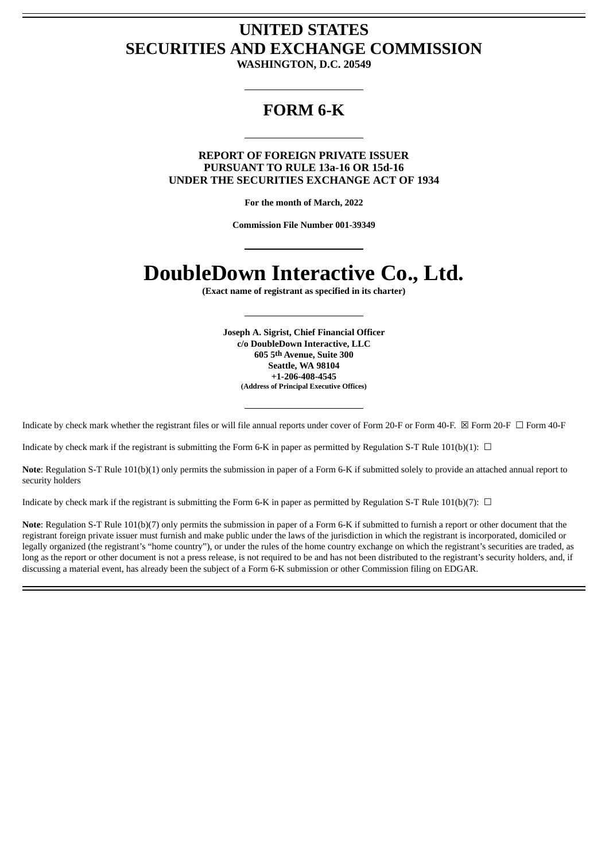## **UNITED STATES SECURITIES AND EXCHANGE COMMISSION**

**WASHINGTON, D.C. 20549**

### **FORM 6-K**

#### **REPORT OF FOREIGN PRIVATE ISSUER PURSUANT TO RULE 13a-16 OR 15d-16 UNDER THE SECURITIES EXCHANGE ACT OF 1934**

**For the month of March, 2022**

**Commission File Number 001-39349**

# **DoubleDown Interactive Co., Ltd.**

**(Exact name of registrant as specified in its charter)**

**Joseph A. Sigrist, Chief Financial Officer c/o DoubleDown Interactive, LLC 605 5th Avenue, Suite 300 Seattle, WA 98104 +1-206-408-4545 (Address of Principal Executive Offices)**

Indicate by check mark whether the registrant files or will file annual reports under cover of Form 20-F or Form 40-F. ⊠ Form 20-F □ Form 40-F

Indicate by check mark if the registrant is submitting the Form 6-K in paper as permitted by Regulation S-T Rule 101(b)(1):  $\Box$ 

**Note**: Regulation S-T Rule 101(b)(1) only permits the submission in paper of a Form 6-K if submitted solely to provide an attached annual report to security holders

Indicate by check mark if the registrant is submitting the Form 6-K in paper as permitted by Regulation S-T Rule 101(b)(7):  $\Box$ 

**Note**: Regulation S-T Rule 101(b)(7) only permits the submission in paper of a Form 6-K if submitted to furnish a report or other document that the registrant foreign private issuer must furnish and make public under the laws of the jurisdiction in which the registrant is incorporated, domiciled or legally organized (the registrant's "home country"), or under the rules of the home country exchange on which the registrant's securities are traded, as long as the report or other document is not a press release, is not required to be and has not been distributed to the registrant's security holders, and, if discussing a material event, has already been the subject of a Form 6-K submission or other Commission filing on EDGAR.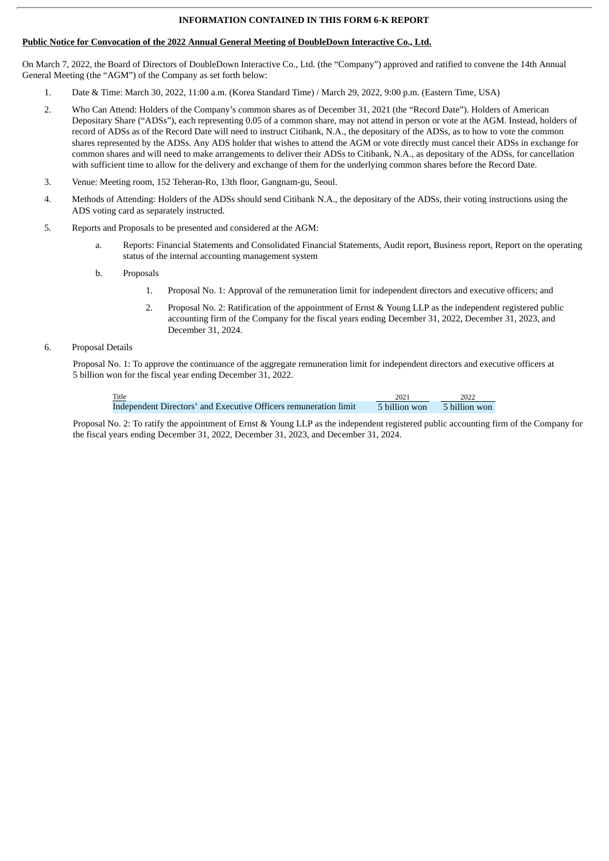#### **INFORMATION CONTAINED IN THIS FORM 6-K REPORT**

#### **Public Notice for Convocation of the 2022 Annual General Meeting of DoubleDown Interactive Co., Ltd.**

On March 7, 2022, the Board of Directors of DoubleDown Interactive Co., Ltd. (the "Company") approved and ratified to convene the 14th Annual General Meeting (the "AGM") of the Company as set forth below:

- 1. Date & Time: March 30, 2022, 11:00 a.m. (Korea Standard Time) / March 29, 2022, 9:00 p.m. (Eastern Time, USA)
- 2. Who Can Attend: Holders of the Company's common shares as of December 31, 2021 (the "Record Date"). Holders of American Depositary Share ("ADSs"), each representing 0.05 of a common share, may not attend in person or vote at the AGM. Instead, holders of record of ADSs as of the Record Date will need to instruct Citibank, N.A., the depositary of the ADSs, as to how to vote the common shares represented by the ADSs. Any ADS holder that wishes to attend the AGM or vote directly must cancel their ADSs in exchange for common shares and will need to make arrangements to deliver their ADSs to Citibank, N.A., as depositary of the ADSs, for cancellation with sufficient time to allow for the delivery and exchange of them for the underlying common shares before the Record Date.
- 3. Venue: Meeting room, 152 Teheran-Ro, 13th floor, Gangnam-gu, Seoul.
- 4. Methods of Attending: Holders of the ADSs should send Citibank N.A., the depositary of the ADSs, their voting instructions using the ADS voting card as separately instructed.
- 5. Reports and Proposals to be presented and considered at the AGM:
	- a. Reports: Financial Statements and Consolidated Financial Statements, Audit report, Business report, Report on the operating status of the internal accounting management system
	- b. Proposals
		- 1. Proposal No. 1: Approval of the remuneration limit for independent directors and executive officers; and
		- 2. Proposal No. 2: Ratification of the appointment of Ernst & Young LLP as the independent registered public accounting firm of the Company for the fiscal years ending December 31, 2022, December 31, 2023, and December 31, 2024.

#### 6. Proposal Details

Proposal No. 1: To approve the continuance of the aggregate remuneration limit for independent directors and executive officers at 5 billion won for the fiscal year ending December 31, 2022.

| Title<br><u> The Communication of the Communication of the Communication of the Communication of the Communication of the Communication of the Communication of the Communication of the Communication of the Communication of the Commun</u> | 2021          | 2022          |
|-----------------------------------------------------------------------------------------------------------------------------------------------------------------------------------------------------------------------------------------------|---------------|---------------|
| Independent Directors' and Executive Officers remuneration limit                                                                                                                                                                              | 5 billion won | 5 billion won |

Proposal No. 2: To ratify the appointment of Ernst & Young LLP as the independent registered public accounting firm of the Company for the fiscal years ending December 31, 2022, December 31, 2023, and December 31, 2024.